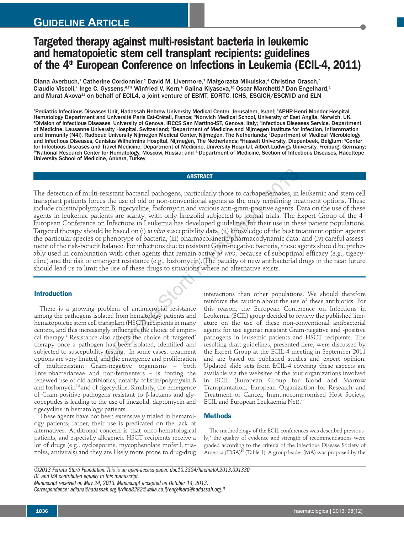# **GUIDELINE ARTICLE**

# **Targeted therapy against multi-resistant bacteria in leukemic and hematopoietic stem cell transplant recipients: guidelines**  of the 4<sup>th</sup> European Conference on Infections in Leukemia (ECIL-4, 2011)

Diana Averbuch,<sup>1</sup> Catherine Cordonnier,<sup>2</sup> David M. Livermore,<sup>3</sup> Małgorzata Mikulska,<sup>4</sup> Christina Orasch,<sup>5</sup> Claudio Viscoli,<sup>4</sup> Inge C. Gyssens,<sup>67,8</sup> Winfried V. Kern,<sup>9</sup> Galina Klyasova,<sup>10</sup> Oscar Marchetti,<sup>5</sup> Dan Engelhard,<sup>1</sup> and Murat Akova<sup>11</sup> on behalf of ECIL4, a joint venture of EBMT, EORTC, ICHS, ESGICH/ESCMID and ELN

1 Pediatric Infectious Diseases Unit, Hadassah Hebrew University Medical Center, Jerusalem, Israel; 2 APHP-Henri Mondor Hospital, Hematology Department and Université Paris Est-Créteil, France; <sup>3</sup>Norwich Medical School, University of East Anglia, Norwich. UK, 4 Division of Infectious Diseases, University of Genova, IRCCS San Martino-IST, Genova, Italy; 5 Infectious Diseases Service, Department of Medicine, Lausanne University Hospital, Switzerland; <sup>e</sup>Department of Medicine and Nijmegen Institute for Infection, Inflammation and Immunity (N4i), Radboud University Nijmegen Medical Center, Nijmegen, The Netherlands; 7 Department of Medical Microbiology and Infectious Diseases, Canisius Wilhelmina Hospital, Nijmegen, The Netherlands; <sup>s</sup>Hasselt University, Diepenbeek, Belgium; <sup>s</sup>Center for Infectious Diseases and Travel Medicine, Department of Medicine, University Hospital, Albert-Ludwigs University, Freiburg, Germany; <sup>10</sup>National Research Center for Hematology, Moscow, Russia; and <sup>11</sup>Department of Medicine, Section of Infectious Diseases, Hacettepe University School of Medicine, Ankara, Turkey

## **ABSTRACT**

The detection of multi-resistant bacterial pathogens, particularly those to carbapenemases, in leukemic and stem cell transplant patients forces the use of old or non-conventional agents as the only remaining treatment options. These include colistin/polymyxin B, tigecycline, fosfomycin and various anti-gram-positive agents. Data on the use of these agents in leukemic patients are scanty, with only linezolid subjected to formal trials. The Expert Group of the 4<sup>th</sup> European Conference on Infections in Leukemia has developed guidelines for their use in these patient populations. Targeted therapy should be based on (i) *in vitro* susceptibility data, (ii) knowledge of the best treatment option against the particular species or phenotype of bacteria, (iii) pharmacokinetic/pharmacodynamic data, and (iv) careful assessment of the risk-benefit balance. For infections due to resistant Gram-negative bacteria, these agents should be preferably used in combination with other agents that remain active *in vitro*, because of suboptimal efficacy (e.g., tigecycline) and the risk of emergent resistance (e.g., fosfomycin). The paucity of new antibacterial drugs in the near future should lead us to limit the use of these drugs to situations where no alternative exists. **ABSTRACT**<br> **ABSTRACT**<br>
esistant bacterial pathogens, particularly those to carbapenemases, in<br>
sit use of old or non-conventional agents as the only remaining tre<br>
sin B, tigecycline, fosformycin and various anti-gram-pos

# **Introduction**

There is a growing problem of antimicrobial resistance among the pathogens isolated from hematology patients and hematopoietic stem cell transplant (HSCT) recipients in many centers, and this increasingly influences the choice of empirical therapy.<sup>1</sup> Resistance also affects the choice of 'targeted' therapy once a pathogen has been isolated, identified and subjected to susceptibility testing. In some cases, treatment options are very limited, and the emergence and proliferation of multiresistant Gram-negative organisms – both Enterobacteriaceae and non-fermenters – is forcing the renewed use of old antibiotics, notably colistin/polymyxin B and fosfomycin<sup>2-6</sup> and of tigecycline. Similarly, the emergence of Gram-positive pathogens resistant to β-lactams and glycopeptides is leading to the use of linezolid, daptomycin and tigecycline in hematology patients.

These agents have not been extensively trialed in hematology patients; rather, their use is predicated on the lack of alternatives. Additional concern is that onco-hematological patients, and especially allogeneic HSCT recipients receive a lot of drugs (e.g., cyclosporine, mycophenolate mofetil, triazoles, antivirals) and they are likely more prone to drug-drug

interactions than other populations. We should therefore reinforce the caution about the use of these antibiotics. For this reason, the European Conference on Infections in Leukemia (ECIL) group decided to review the published literature on the use of these non-conventional antibacterial agents for use against resistant Gram-negative and -positive pathogens in leukemic patients and HSCT recipients. The resulting draft guidelines, presented here, were discussed by the Expert Group at the ECIL-4 meeting in September 2011 and are based on published studies and expert opinion. Updated slide sets from ECIL-4 covering these aspects are available via the websites of the four organizations involved in ECIL (European Group for Blood and Marrow Transplantation, European Organization for Research and Treatment of Cancer, Immunocompromised Host Society, ECIL and European Leukaemia Net). $\frac{\dot{z}}{\dot{x}}$ 

# **Methods**

The methodology of the ECIL conferences was described previously;<sup>9</sup> the quality of evidence and strength of recommendations were graded according to the criteria of the Infectious Disease Society of America  $(IDSA)^{10}$  (Table 1). A group leader (MA) was proposed by the

*©2013 Ferrata Storti Foundation. This is an open-access paper. doi:10.3324/haematol.2013.091330 DE and MA contributed equally to this manuscript. Manuscript received on May 24, 2013. Manuscript accepted on October 14, 2013. Correspondence: adiana@hadassah.org.il/dina8282@walla.co.il/engelhard@hadassah.org.il*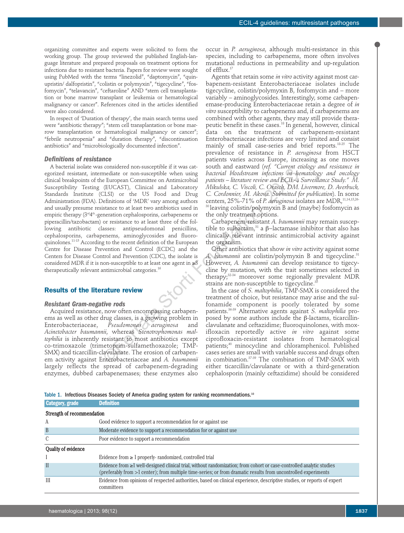organizing committee and experts were solicited to form the working group. The group reviewed the published English-language literature and prepared proposals on treatment options for infections due to resistant bacteria. Papers for review were sought using PubMed with the terms "linezolid", "daptomycin", "quinupristin/ dalfopristin", "colistin or polymyxin", "tigecycline", "fosfomycin", "telavancin", "ceftaroline" AND "stem cell transplantation or bone marrow transplant or leukemia or hematological malignancy or cancer". References cited in the articles identified were also considered.

In respect of 'Duration of therapy', the main search terms used were "antibiotic therapy"; "stem cell transplantation or bone marrow transplantation or hematological malignancy or cancer"; "febrile neutropenia" and "duration therapy", "discontinuation antibiotics" and "microbiologically documented infection".

#### *Definitions of resistance*

A bacterial isolate was considered non-susceptible if it was categorized resistant, intermediate or non-susceptible when using clinical breakpoints of the European Committee on Antimicrobial Susceptibility Testing (EUCAST), Clinical and Laboratory Standards Institute (CLSI) or the US Food and Drug Administration (FDA). Definitions of 'MDR' vary among authors and usually presume resistance to at least two antibiotics used in empiric therapy  $(3<sup>rd</sup>4<sup>th</sup>$ -generation cephalosporins, carbapenems or piperacillin/tazobactam) or resistance to at least three of the following antibiotic classes: antipseudomonal penicillins, cephalosporins, carbapenems, aminoglycosides and fluoroquinolones.11-15 According to the recent definition of the European Centre for Disease Prevention and Control (ECDC) and the Centers for Disease Control and Prevention (CDC), the isolate is considered MDR if it is non-susceptible to at least one agent in ≥3 therapeutically relevant antimicrobial categories.<sup>16</sup> Consideration in the same of the same of the same of the same of the elementa computed in the same of the difference of Alternal CIL-CAST), Clinical and Laboratory *Mikkuka, C. Viscol, C. Ordomier, M. Akova*, *Submitted*

# **Results of the literature review**

#### *Resistant Gram-negative rods*

Acquired resistance, now often encompassing carbapenems as well as other drug classes, is a growing problem in<br>Enterobacteriaceae, Pseudomonas aeruginosa and Pseudomonas *aeruginosa* and *Acinetobacter baumannii*, whereas *Stenotrophomonas maltophilia* is inherently resistant to most antibiotics except co-trimoxazole (trimetoprim-sulfamethoxazole; TMP-SMX) and ticarcillin-clavulanate. The erosion of carbapenem activity against Enterobacteriaceae and *A. baumannii* largely reflects the spread of carbapenem-degrading enzymes, dubbed carbapenemases; these enzymes also

occur in *P. aeruginosa*, although multi-resistance in this species, including to carbapenems, more often involves mutational reductions in permeability and up-regulation of efflux.17

Agents that retain some *in vitro* activity against most carbapenem-resistant Enterobacteriaceae isolates include tigecycline, colistin/polymyxin B, fosfomycin and – more variably – aminoglycosides. Interestingly, some carbapenemase-producing Enterobacteriaceae retain a degree of *in vitro* susceptibility to carbapenems and, if carbapenems are combined with other agents, they may still provide therapeutic benefit in these cases.18 In general, however, clinical data on the treatment of carbapenem-resistant Enterobacteriaceae infections are very limited and consist mainly of small case-series and brief reports.18-25 The prevalence of resistance in *P. aeruginosa* from HSCT patients varies across Europe, increasing as one moves south and eastward (*ref. "Current etiology and resistance in bacterial bloodstream infections in hematology and oncology patients – literature review and ECIL-4 Surveillance Study." M. Mikulska, C. Viscoli, C. Orasch, DM. Livermore, D. Averbuch, C. Cordonnier, M. Akova. Submitted for publication*). In some centers, 25%-71% of *P. aeruginosa* isolates are MDR,<sup>11,14,15,26-</sup> <sup>30</sup> leaving colistin/polymyxin B and (maybe) fosfomycin as the only treatment options.

Carbapenem-resistant *A. baumannii* may remain susceptible to sulbactam,<sup>31</sup> a β-lactamase inhibitor that also has clinically relevant intrinsic antimicrobial activity against the organism.

Other antibiotics that show *in vitro* activity against some *A. baumannii* are colistin/polymyxin B and tigecycline.31 However, *A. baumannii* can develop resistance to tigecycline by mutation, with the trait sometimes selected in therapy;32-34 moreover some regionally prevalent MDR strains are non-susceptible to tigecycline.

In the case of *S. maltophilia*, TMP-SMX is considered the treatment of choice, but resistance may arise and the sulfonamide component is poorly tolerated by some patients.36-39 Alternative agents against *S. maltophilia* proposed by some authors include the β-lactams, ticarcillinclavulanate and ceftazidime; fluoroquinolones, with moxifloxacin reportedly active *in vitro* against some ciprofloxacin-resistant isolates from hematological patients;<sup>40</sup> minocycline and chloramphenicol. Published cases series are small with variable success and drugs often in combination.37-39 The combination of TMP-SMX with either ticarcillin/clavulanate or with a third-generation cephalosporin (mainly ceftazidime) should be considered

|  |  |  |  |  |  |  |  | Table 1. Infectious Diseases Society of America grading system for ranking recommendations. <sup>10</sup> |  |
|--|--|--|--|--|--|--|--|-----------------------------------------------------------------------------------------------------------|--|
|--|--|--|--|--|--|--|--|-----------------------------------------------------------------------------------------------------------|--|

| <b>Category, grade</b>     | <b>Definition</b>                                                                                                                                                                                                                               |
|----------------------------|-------------------------------------------------------------------------------------------------------------------------------------------------------------------------------------------------------------------------------------------------|
| Strength of recommendation |                                                                                                                                                                                                                                                 |
| A                          | Good evidence to support a recommendation for or against use                                                                                                                                                                                    |
| B                          | Moderate evidence to support a recommendation for or against use                                                                                                                                                                                |
| C                          | Poor evidence to support a recommendation                                                                                                                                                                                                       |
| Quality of evidence        |                                                                                                                                                                                                                                                 |
|                            | Evidence from $\geq 1$ properly-randomized, controlled trial                                                                                                                                                                                    |
| $\mathbf{I}$               | Evidence from $\geq 1$ well-designed clinical trial, without randomization; from cohort or case-controlled analytic studies<br>(preferably from $>1$ center); from multiple time-series; or from dramatic results from uncontrolled experiments |
| III                        | Evidence from opinions of respected authorities, based on clinical experience, descriptive studies, or reports of expert<br>committees                                                                                                          |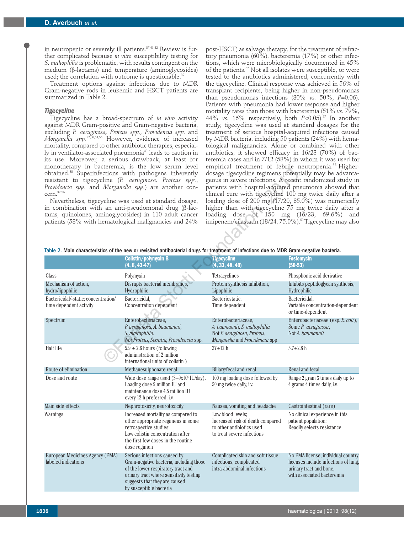in neutropenic or severely ill patients.<sup>37,41,42</sup> Review is further complicated because *in vitro* susceptibility testing for *S. maltophilia* is problematic, with results contingent on the medium (β-lactams) and temperature (aminoglycosides) used; the correlation with outcome is questionable.<sup>39</sup>

Treatment options against infections due to MDR Gram-negative rods in leukemic and HSCT patients are summarized in Table 2.

#### *Tigecycline*

Tigecycline has a broad-spectrum of *in vitro* activity against MDR Gram-positive and Gram-negative bacteria, excluding *P. aeruginosa, Proteus spp., Providencia spp.* and *Morganella spp*. 22,38,54,55 However, evidence of increased mortality, compared to other antibiotic therapies, especially in ventilator-associated pneumonia<sup>48</sup> leads to caution in its use. Moreover, a serious drawback, at least for monotherapy in bacteremia, is the low serum level obtained.<sup>33</sup> Superinfections with pathogens inherently resistant to tigecycline (*P. aeruginosa, Proteus spp.*, *Providencia spp.* and *Morganella spp.*) are another concern.32,56

post-HSCT) as salvage therapy, for the treatment of refractory pneumonia (60%), bacteremia (17%) or other infections, which were microbiologically documented in 45% of the patients.<sup>57</sup> Not all isolates were susceptible, or were tested to the antibiotics administered, concurrently with the tigecycline. Clinical response was achieved in 56% of transplant recipients, being higher in non-pseudomonas than pseudomonas infections (80% *vs.* 50%, *P*=0.06). Patients with pneumonia had lower response and higher mortality rates than those with bacteremia (51% *vs.* 79%, 44% *vs.* 16% respectively, both *P*<0.05).57 In another study, tigecycline was used at standard dosages for the treatment of serious hospital-acquired infections caused by MDR bacteria, including 50 patients (24%) with hematological malignancies. Alone or combined with other antibiotics, it showed efficacy in 16/23 (70%) of bacteremia cases and in 7/12 (58%) in whom it was used for empirical treatment of febrile neutropenia.<sup>58</sup> Higherdosage tigecycline regimens potentially may be advantageous in severe infections. A recent randomized study in patients with hospital-acquired pneumonia showed that clinical cure with tigecycline 100 mg twice daily after a loading dose of 200 mg (17/20, 85.0%) was numerically higher than with tigecycline 75 mg twice daily after a loading dose of 150 mg (16/23, 69.6%) and imipenem/cilastatin (18/24, 75.0%).<sup>59</sup> Tigecycline may also

| monomento y in outerchina, is the low serum rever<br>obtained. <sup>33</sup> Superinfections with pathogens inherently<br>resistant to tigecycline (P. aeruginosa, Proteus spp.,<br>Providencia spp. and Morganella spp.) are another con-<br>$\rm{cern.}^{32,56}$<br>in combination with an anti-pseudomonal drug ( $\beta$ -lac-<br>tams, quinolones, aminoglycosides) in 110 adult cancer<br>patients (58% with hematological malignancies and 24% | Nevertheless, tigecycline was used at standard dosage,                                                                                                                                                               | empintar treatment or rebine neutropenia. Thenci<br>dosage tigecycline regimens potentially may be advanta-<br>geous in severe infections. A recent randomized study in<br>patients with hospital-acquired pneumonia showed that<br>clinical cure with tigecycline 100 mg twice daily after a<br>loading dose of 200 mg (17/20, 85.0%) was numerically<br>higher than with tigecycline 75 mg twice daily after a<br>loading dose of 150 mg (16/23, 69.6%) and<br>imipenem/cilastatin (18/24, 75.0%). <sup>59</sup> Tigecycline may also |                                                                                                                                     |
|-------------------------------------------------------------------------------------------------------------------------------------------------------------------------------------------------------------------------------------------------------------------------------------------------------------------------------------------------------------------------------------------------------------------------------------------------------|----------------------------------------------------------------------------------------------------------------------------------------------------------------------------------------------------------------------|-----------------------------------------------------------------------------------------------------------------------------------------------------------------------------------------------------------------------------------------------------------------------------------------------------------------------------------------------------------------------------------------------------------------------------------------------------------------------------------------------------------------------------------------|-------------------------------------------------------------------------------------------------------------------------------------|
|                                                                                                                                                                                                                                                                                                                                                                                                                                                       | Table 2. Main characteristics of the new or revisited antibacterial drugs for treatment of infections due to MDR Gram-negative bacteria.                                                                             |                                                                                                                                                                                                                                                                                                                                                                                                                                                                                                                                         |                                                                                                                                     |
|                                                                                                                                                                                                                                                                                                                                                                                                                                                       | <b>Colistin/polymyxin B</b><br>$(4, 6, 43-47)$                                                                                                                                                                       | <b>Tigecycline</b><br>(4, 33, 48, 49)                                                                                                                                                                                                                                                                                                                                                                                                                                                                                                   | <b>Fosfomycin</b><br>$(50-53)$                                                                                                      |
| Class                                                                                                                                                                                                                                                                                                                                                                                                                                                 | Polymyxin                                                                                                                                                                                                            | Tetracyclines                                                                                                                                                                                                                                                                                                                                                                                                                                                                                                                           | Phosphonic acid derivative                                                                                                          |
| Mechanism of action,<br>hydro/lipophilic                                                                                                                                                                                                                                                                                                                                                                                                              | Disrupts bacterial membranes,<br>Hydrophilic                                                                                                                                                                         | Protein synthesis inhibition,<br>Lipophilic                                                                                                                                                                                                                                                                                                                                                                                                                                                                                             | Inhibits peptidoglycan synthesis,<br><b>Hydrophilic</b>                                                                             |
| Bactericidal/-static; concentration/<br>time dependent activity                                                                                                                                                                                                                                                                                                                                                                                       | Bactericidal,<br>Concentration dependent                                                                                                                                                                             | Bacteriostatic,<br>Time dependent                                                                                                                                                                                                                                                                                                                                                                                                                                                                                                       | Bactericidal,<br>Variable concentration-dependent<br>or time-dependent                                                              |
| Spectrum                                                                                                                                                                                                                                                                                                                                                                                                                                              | Enterobacteriaceae,<br>P. aeruginosa, A. baumannii,<br>S. maltophilia.<br>Not Proteus, Serratia, Providencia spp.                                                                                                    | Enterobacteriaceae,<br>A. baumannii, S. maltophilia<br>Not P. aeruginosa, Proteus,<br>Morganella and Providencia spp                                                                                                                                                                                                                                                                                                                                                                                                                    | Enterobacteriaceae (esp. E. coli),<br>Some P. aeruginosa,<br>Not A. baumannii                                                       |
| Half life                                                                                                                                                                                                                                                                                                                                                                                                                                             | $5.9 \pm 2.6$ hours (following<br>administration of 2 million<br>international units of colistin)                                                                                                                    | $37 + 12 h$                                                                                                                                                                                                                                                                                                                                                                                                                                                                                                                             | $5.7 + 2.8$ h                                                                                                                       |
| Route of elimination                                                                                                                                                                                                                                                                                                                                                                                                                                  | Methanesulphonate renal                                                                                                                                                                                              | Biliary/fecal and renal                                                                                                                                                                                                                                                                                                                                                                                                                                                                                                                 | Renal and fecal                                                                                                                     |
| Dose and route                                                                                                                                                                                                                                                                                                                                                                                                                                        | Wide dose range used $(3-9x10)$ IU/day).<br>Loading dose 9 million IU and<br>maintenance dose 4.5 million IU<br>every 12 h preferred, i.v.                                                                           | 100 mg loading dose followed by<br>50 mg twice daily, i.v.                                                                                                                                                                                                                                                                                                                                                                                                                                                                              | Range 2 gram 3 times daily up to<br>4 grams 4 times daily, i.v.                                                                     |
| Main side effects                                                                                                                                                                                                                                                                                                                                                                                                                                     | Nephrotoxicity, neurotoxicity                                                                                                                                                                                        | Nausea, vomiting and headache                                                                                                                                                                                                                                                                                                                                                                                                                                                                                                           | Gastrointestinal (rare)                                                                                                             |
| Warnings                                                                                                                                                                                                                                                                                                                                                                                                                                              | Increased mortality as compared to<br>other appropriate regimens in some<br>retrospective studies;<br>Low colistin concentration after<br>the first few doses in the routine<br>dose regimen                         | Low blood levels;<br>Increased risk of death compared<br>to other antibiotics used<br>to treat severe infections                                                                                                                                                                                                                                                                                                                                                                                                                        | No clinical experience in this<br>patient population;<br>Readily selects resistance                                                 |
| European Medicines Agency (EMA)<br>labeled indications                                                                                                                                                                                                                                                                                                                                                                                                | Serious infections caused by<br>Gram-negative bacteria, including those<br>of the lower respiratory tract and<br>urinary tract where sensitivity testing<br>suggests that they are caused<br>by susceptible bacteria | Complicated skin and soft tissue<br>infections, complicated<br>intra-abdominal infections                                                                                                                                                                                                                                                                                                                                                                                                                                               | No EMA license; individual country<br>licenses include infections of lung,<br>urinary tract and bone,<br>with associated bacteremia |

#### Table 2. Main characteristics of the new or revisited antibacterial drugs for treatment of infections due to MDR Gram-negative bacteria.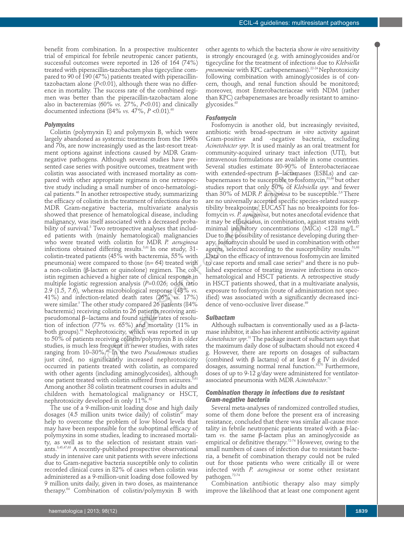benefit from combination. In a prospective multicenter trial of empirical for febrile neutropenic cancer patients, successful outcomes were reported in 126 of 164 (74%) treated with piperacillin-tazobactam plus tigecycline compared to 90 of 190 (47%) patients treated with piperacillintazobactam alone (*P*<0.01), although there was no difference in mortality. The success rate of the combined regimen was better than the piperacillin-tazobactam alone also in bacteremias (60% *vs.* 27%, *P*<0.01) and clinically documented infections (84% *vs.* 47%, *P* <0.01).60

#### *Polymyxins*

Colistin (polymyxin E) and polymyxin B, which were largely abandoned as systemic treatments from the 1960s and 70s, are now increasingly used as the last-resort treatment options against infections caused by MDR Gramnegative pathogens. Although several studies have presented case series with positive outcomes, treatment with colistin was associated with increased mortality as compared with other appropriate regimens in one retrospective study including a small number of onco-hematological patients.46 In another retrospective study, summarizing the efficacy of colistin in the treatment of infections due to MDR Gram-negative bacteria, multivariate analysis showed that presence of hematological disease, including malignancy, was itself associated with a decreased probability of survival.<sup>3</sup> Two retrospective analyses that included patients with (mainly hematological) malignancies who were treated with colistin for MDR *P. aeruginosa* infections obtained differing results.<sup>5,61</sup> In one study, 31colistin-treated patients (45% with bacteremia, 55% with pneumonia) were compared to those (n= 64) treated with a non-colistin (β-lactam or quinolone) regimen. The colistin regimen achieved a higher rate of clinical response in multiple logistic regression analysis (*P*=0.026; odds ratio 2.9 (1.5, 7.6), whereas microbiological response (48% *vs.* 41%) and infection-related death rates (26% *vs.* 17%) were similar.<sup>5</sup> The other study compared 26 patients (84% bacteremic) receiving colistin to 26 patients receiving antipseudomonal β−lactams and found similar rates of resolution of infection (77% *vs.* 65%) and mortality (11% in both groups).<sup>61</sup> Nephrotoxicity, which was reported in up to 50% of patients receiving colistin/polymyxin B in older studies, is much less frequent in newer studies, with rates ranging from 10–30%.44 In the two *Pseudomonas* studies just cited, no significantly increased nephrotoxicity occurred in patients treated with colistin, as compared with other agents (including aminoglycosides), although one patient treated with colistin suffered from seizures.<sup>5</sup> Among another 38 colistin treatment courses in adults and children with hematological malignancy or HSCT, nephrotoxicity developed in only 11%.<sup>62</sup> positive outcoming virtual virtual virtual virtual virtual virtual virtual virtual virtual virtual virtual virtual virtual virtual virtual virtual virtual virtual virtual virtual virtual virtual virtual of one of the para

The use of a 9-million-unit loading dose and high daily dosages (4.5 million units twice daily) of colistin<sup>47</sup> may help to overcome the problem of low blood levels that may have been responsible for the suboptimal efficacy of polymyxins in some studies, leading to increased mortality, as well as to the selection of resistant strain variants.3,45,47,63 A recently-published prospective observational study in intensive care unit patients with severe infections due to Gram-negative bacteria susceptible only to colistin recorded clinical cures in 82% of cases when colistin was administered as a 9-million-unit loading dose followed by 9 million units daily, given in two doses, as maintenance therapy.64 Combination of colistin/polymyxin B with

other agents to which the bacteria show *in vitro* sensitivity is strongly encouraged (e.g. with aminoglycosides and/or tigecycline for the treatment of infections due to *Klebsiella pneumoniae* with KPC carbapenemases).22-24 Nephrotoxicity following combination with aminoglycosides is of concern, though, and renal function should be monitored; moreover, most Enterobacteriaceae with NDM (rather than KPC) carbapenemases are broadly resistant to aminoglycosides.65

#### *Fosfomycin*

Fosfomycin is another old, but increasingly revisited, antibiotic with broad-spectrum *in vitro* activity against Gram-positive and -negative bacteria, excluding *Acinetobacter spp*. It is used mainly as an oral treatment for community-acquired urinary tract infection (UTI), but intravenous formulations are available in some countries. Several studies estimate 80-90% of Enterobacteriaceae with extended-spectrum β−lactamases (ESBLs) and carbapenemases to be susceptible to fosfomycin,<sup>51,66</sup> but other studies report that only 50% of *Klebsiella spp.* and fewer than 30% of MDR *P. aeruginosa* to be susceptible.<sup>2,6</sup> There are no universally accepted specific species-related susceptibility breakpoints;2 EUCAST has no breakpoints for fosfomycin *vs. P. aeruginosa*, but notes anecdotal evidence that it may be efficacious, in combination, against strains with minimal inhibitory concentrations (MICs) <128 mg/L. $\sigma$ Due to the possibility of resistance developing during therapy, fosfomycin should be used in combination with other agents, selected according to the susceptibility results.<sup>51,6</sup> Data on the efficacy of intravenous fosfomycin are limited to case reports and small case series<sup>51</sup> and there is no published experience of treating invasive infections in oncohematological and HSCT patients. A retrospective study in HSCT patients showed, that in a multivariate analysis, exposure to fosfomycin (route of administration not specified) was associated with a significantly decreased incidence of veno-occlusive liver disease.<sup>69</sup>

#### *Sulbactam*

Although sulbactam is conventionally used as a β-lactamase inhibitor, it also has inherent antibiotic activity against *Acinetobacter spp*. <sup>31</sup> The package insert of sulbactam says that the maximum daily dose of sulbactam should not exceed 4 g. However, there are reports on dosages of sulbactam (combined with β lactams) of at least 6 g IV in divided dosages, assuming normal renal function.<sup>31,70</sup> Furthermore, doses of up to 9-12 g/day were administered for ventilatorassociated pneumonia with MDR *Acinetobacter*. 71

#### *Combination therapy in infections due to resistant Gram-negative bacteria*

Several meta-analyses of randomized controlled studies, some of them done before the present era of increasing resistance, concluded that there was similar all-cause mortality in febrile neutropenic patients treated with a β-lactam *vs.* the same β-lactam plus an aminoglycoside as empirical or definitive therapy.<sup>72-74</sup> However, owing to the small numbers of cases of infection due to resistant bacteria, a benefit of combination therapy could not be ruled out for those patients who were critically ill or were infected with *P. aeruginosa* or some other resistant pathogen.72-74

Combination antibiotic therapy also may simply improve the likelihood that at least one component agent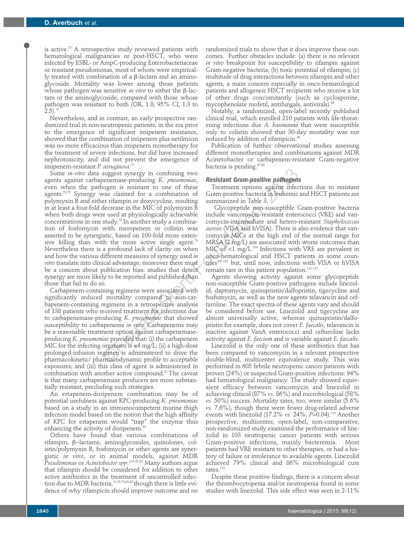is active.<sup>75</sup> A retrospective study reviewed patients with hematological malignancies or post-HSCT, who were infected by ESBL- or AmpC-producing Enterobacteriaceae or resistant pseudomonas, most of whom were empirically treated with combination of a β-lactam and an aminoglycoside. Mortality was lower among those patients whose pathogen was sensitive *in vitro* to either the β-lactam or the aminoglycoside, compared with those whose pathogen was resistant to both (OR, 1.8; 95% CI, 1.3 to  $2.5$ ).<sup>76</sup>

Nevertheless, and in contrast, an early prospective randomized trial in non-neutropenic patients, in the era prior to the emergence of significant imipenem resistance, showed that the combination of imipenem plus netilmicin was no more efficacious than imipenem monotherapy for the treatment of severe infections, but did have increased nephrotoxicity, and did not prevent the emergence of imipenem-resistant *P. aeruginosa*. 77

Some *in-vitro* data suggest synergy in combining two agents against carbapenemase-producing *K. pneumoniae*, even when the pathogen is resistant to one of these agents.78,79 Synergy was claimed for a combination of polymyxin B and either rifampin or doxycycline, resulting in at least a four-fold decrease in the MIC of polymyxin B when both drugs were used at physiologically achievable concentrations in one study.<sup>78</sup> In another study a combination of fosfomycin with meropenem or colistin was asserted to be synergistic, based on 100-fold more extensive killing than with the more active single agent.<sup>79</sup> Nevertheless there is a profound lack of clarity on when and how the various different measures of synergy used *in vitro* translate into clinical advantage; moreover there must be a concern about publication bias: studies that detect synergy are more likely to be reported and published than those that fail to do so. away<br>est synergy in combining two<br>suggest synergy in combining two<br>concernase-producing  $K$ , *preumoniae*, **Resistant form-positive pathogens**<br>concent is resistant to one of these Treatment options against infect<br>exas cla

Carbapenem-containing regimens were associated with significantly reduced mortality compared to non-carbapenem-containing regimens in a retrospective analysis of 138 patients who received treatment for infections due to carbapenemase-producing *K. pneumoniae* that showed susceptibility to carbapenems *in vitro*. Carbapenems may be a reasonable treatment option against carbapenemaseproducing *K. pneumoniae* provided that: (i) the carbapenem MIC for the infecting organism is  $\leq 4$  mg/L; (ii) a high-dose prolonged-infusion regimen is administered to drive the pharmacokinetic/ pharmacodynamic profile to acceptable exposures; and (iii) this class of agent is administered in combination with another active compound.<sup>21</sup> The caveat is that many carbapenemase producers are more substantially resistant, precluding such strategies.

An ertapenem-doripenem combination may be of potential usefulness against KPC-producing *K. pneumoniae* based on a study in an immunocompetent murine thigh infection model based on the notion that the high affinity of KPC for ertapenem would "trap" the enzyme thus enhancing the activity of doripenem.<sup>8</sup>

Others have found that various combinations of rifampin, β−lactams, aminoglycosides, quinolones, colistin/polymyxin B, fosfomycin or other agents are synergistic *in vitro*, or in animal models, against MDR *Pseudomonas* or *Acinetobacter spp*. 2,31,81,82 Many authors argue that rifampin should be considered for addition to other active antibiotics in the treatment of uncontrolled infection due to MDR bacteria, 31,55,78,83-85 though there is little evidence of why rifampicin should improve outcome and no

randomized trials to show that it does improve these outcomes. Further obstacles include: (a) there is no relevant *in vitro* breakpoint for susceptibility to rifampin against Gram-negative bacteria; (b) toxic potential of rifampin; (c) multitude of drug interactions between rifampin and other agents, a main concern especially in onco-hematological patients and allogeneic HSCT recipients who receive a lot of other drugs concomitantly (such as cyclosporine, mycophenolate mofetil, antifungals, antivirals).<sup>86</sup>

Notably, a randomized, open-label recently published clinical trial, which enrolled 210 patients with life-threatening infections due *A. baumannii* that were susceptible only to colistin showed that 30-day mortality was not reduced by addition of rifampicin.<sup>86</sup>

Publication of further observational studies assessing different monotherapies and combinations against MDR Acinetobacter or carbapenem-resistant Gram-negative bacteria is pending. 87,88

# *Resistant Gram-positive pathogens*

Treatment options against infections due to resistant Gram-positive bacteria in leukemic and HSCT patients are summarized in Table 3.

Glycopeptide non-susceptible Gram-positive bacteria include vancomycin-resistant enterococci (VRE) and vancomycin-intermediate and hetero-resistant *Staphylococcus aureus* (VISA and hVISA). There is also evidence that vancomycin MICs at the high end of the normal range for MRSA (2 mg/L) are associated with worse outcomes than MIC of <1 mg/L.<sup>104</sup> Infections with VRE are prevalent in onco-hematological and HSCT patients in some countries<sup>105-110</sup> but, until now, infections with VISA or hVISA remain rare in this patient population. $111-113$ 

Agents showing activity against some glycopeptide non-susceptible Gram-positive pathogens include linezolid, daptomycin, quinupristin/dalfopristin, tigecycline and fosfomycin, as well as the new agents telavancin and ceftaroline. The exact spectra of these agents vary and should be considered before use. Linezolid and tigecycline are almost universally active, whereas quinupristin/dalfopristin for example, does not cover *E. faecalis*, telavancin is inactive against VanA enterococci and ceftaroline lacks activity against *E. faecium* and is variable against *E. faecalis*.

Linezolid is the only one of these antibiotics that has been compared to vancomycin in a relevant prospective double-blind, multicenter equivalence study. This was performed in 605 febrile neutropenic cancer patients with proven (24%) or suspected Gram-positive infections: 94% had hematological malignancy. The study showed equivalent efficacy between vancomycin and linezolid in achieving clinical (87% *vs.* 86%) and microbiological (58% *vs.* 50%) success. Mortality rates, too, were similar (5.6% *vs.* 7.6%), though there were fewer drug-related adverse events with linezolid (17.2% *vs.* 24%; *P*=0.04).114 Another prospective, multicenter, open-label, non-comparative, non-randomized study examined the performance of linezolid in 103 neutropenic cancer patients with serious Gram-positive infections, mainly bacteremia. Most patients had VRE resistant to other therapies, or had a history of failure or intolerance to available agents. Linezolid achieved 79% clinical and 86% microbiological cure rates.<sup>115</sup>

Despite these positive findings, there is a concern about the thrombocytopenia and/or neutropenia found in some studies with linezolid. This side effect was seen in 2-11%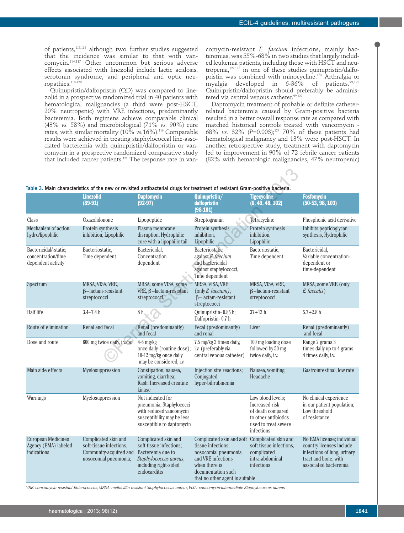of patients,115,116 although two further studies suggested that the incidence was similar to that with vancomycin.114,117 Other uncommon but serious adverse effects associated with linezolid include lactic acidosis, serotonin syndrome, and peripheral and optic neuropathies.<sup>118-120</sup>

Quinupristin/dalfopristin (QD) was compared to linezolid in a prospective randomized trial in 40 patients with hematological malignancies (a third were post-HSCT, 20% neutropenic) with VRE infections, predominantly bacteremia. Both regimens achieve comparable clinical (43% *vs.* 58%) and microbiological (71% *vs.* 90%) cure rates, with similar mortality (10% *vs.*16%).116 Comparable results were achieved in treating staphylococcal line-associated bacteremia with quinupristin/dalfopristin or vancomycin in a prospective randomized comparative study that included cancer patients.121 The response rate in vancomycin-resistant *E. faecium* infections, mainly bacteremias, was 55%-68% in two studies that largely included leukemia patients, including those with HSCT and neutropenia, $122,123$  in one of these studies quinupristin/dalfopristin was combined with minocycline.123 Arthralgia or myalgia developed in 6-36% of patients.<sup>99,122</sup> Quinupristin/dalfopristin should preferably be administered via central venous catheter.<sup>99,122</sup>

Daptomycin treatment of probable or definite catheterrelated bacteremia caused by Gram-positive bacteria resulted in a better overall response rate as compared with matched historical controls treated with vancomycin - 68% *vs.* 32% (*P*=0.003);124 70% of these patients had hematological malignancy and 13% were post-HSCT. In another retrospective study, treatment with daptomycin led to improvement in 90% of 72 febrile cancer patients (82% with hematologic malignancies, 47% neutropenic)

| Table 3. Main characteristics of the new or revisited antibacterial drugs for treatment of resistant Gram-positive bacteria. |  |
|------------------------------------------------------------------------------------------------------------------------------|--|
|------------------------------------------------------------------------------------------------------------------------------|--|

|                                                                   | Table 3. Main characteristics of the new or revisited antibacterial drugs for treatment of resistant Gram-positive bacteria. |                                                                                                                                         |                                                                                                                                                                                              |                                                                                                                        |                                                                                                                                        |
|-------------------------------------------------------------------|------------------------------------------------------------------------------------------------------------------------------|-----------------------------------------------------------------------------------------------------------------------------------------|----------------------------------------------------------------------------------------------------------------------------------------------------------------------------------------------|------------------------------------------------------------------------------------------------------------------------|----------------------------------------------------------------------------------------------------------------------------------------|
|                                                                   | <b>Linezolid</b><br>$(89-91)$                                                                                                | <b>Daptomycin</b><br>$(92-97)$                                                                                                          | Quinupristin/<br>dalfopristin<br>$(98-101)$                                                                                                                                                  | <b>Tigecycline</b><br>(6, 49, 48, 102)                                                                                 | <b>Fosfomycin</b><br>$(50-53, 98, 103)$                                                                                                |
| Class                                                             | Oxazolidonone                                                                                                                | Lipopeptide                                                                                                                             | Streptogramin                                                                                                                                                                                | Tetracycline                                                                                                           | Phosphonic acid derivative                                                                                                             |
| Mechanism of action,<br>hydro/lipophilic                          | Protein synthesis<br>inhibition, Lipophilic                                                                                  | Plasma membrane<br>disruption, Hydrophilic<br>core with a lipophilic tail                                                               | Protein synthesis<br>inhibition,<br>Lipophilic                                                                                                                                               | Protein synthesis<br>inhibition,<br>Lipophilic                                                                         | Inhibits peptidoglycan<br>synthesis, Hydrophilic                                                                                       |
| Bactericidal/-static;<br>concentration/time<br>dependent activity | Bacteriostatic,<br>Time dependent                                                                                            | Bactericidal.<br>Concentration<br>dependent                                                                                             | Bacteriostatic<br>against E. faecium<br>and bactericidal<br>against staphylococci,<br>Time dependent                                                                                         | Bacteriostatic,<br>Time dependent                                                                                      | Bactericidal.<br>Variable concentration-<br>dependent or<br>time-dependent                                                             |
| Spectrum                                                          | MRSA, VISA, VRE,<br>$\beta$ -lactam-resistant<br>streptococci                                                                | MRSA, some VISA, some<br>VRE, $\beta$ -lactam-resistant<br>streptococci,                                                                | MRSA, VISA, VRE<br>(only E. faecium),<br>$\beta$ -lactam-resistant<br>streptococci                                                                                                           | MRSA, VISA, VRE,<br>$\beta$ -lactam-resistant<br>streptococci                                                          | MRSA, some VRE (only<br>E. faecalis)                                                                                                   |
| Half life                                                         | $3.4 - 7.4 h$                                                                                                                | 8 h                                                                                                                                     | Quinupristin-0.85 h;<br>Dalfopristin-0.7 h                                                                                                                                                   | $37 + 12h$                                                                                                             | $5.7 + 2.8$ h                                                                                                                          |
| Route of elimination                                              | Renal and fecal                                                                                                              | Renal (predominantly)<br>and fecal                                                                                                      | Fecal (predominantly)<br>and renal                                                                                                                                                           | Liver                                                                                                                  | Renal (predominantly)<br>and fecal                                                                                                     |
| Dose and route                                                    | 600 mg twice daily, i.v./po                                                                                                  | $4-6$ mg/kg<br>once daily (routine dose);<br>10-12 mg/kg once daily<br>may be considered, i.v.                                          | 7.5 mg/kg 3 times daily,<br>i.v. (preferably via<br>central venous catheter)                                                                                                                 | 100 mg loading dose<br>followed by 50 mg<br>twice daily, i.v.                                                          | Range 2 grams 3<br>times daily up to 4 grams<br>4 times daily, i.v.                                                                    |
| Main side effects                                                 | Myelosuppression                                                                                                             | Constipation, nausea,<br>vomiting, diarrhea;<br>Rash; Increased creatine<br>kinase                                                      | Injection site reactions;<br>Conjugated<br>hyper-bilirubinemia                                                                                                                               | Nausea, vomiting;<br>Headache                                                                                          | Gastrointestinal, low rate                                                                                                             |
| Warnings                                                          | Myelosuppression                                                                                                             | Not indicated for<br>pneumonia; Staphylococci<br>with reduced vancomycin<br>susceptibility may be less<br>susceptible to daptomycin     |                                                                                                                                                                                              | Low blood levels;<br>Increased risk<br>of death compared<br>to other antibiotics<br>used to treat severe<br>infections | No clinical experience<br>in our patient population;<br>Low threshold<br>of resistance                                                 |
| <b>European Medicines</b><br>Agency (EMA) labeled<br>indications  | Complicated skin and<br>soft-tissue infections,<br>Community-acquired and<br>nosocomial pneumonia;                           | Complicated skin and<br>soft tissue infections;<br>Bacteremia due to<br>Staphylococcus aureus,<br>including right-sided<br>endocarditis | Complicated skin and soft Complicated skin and<br>tissue infections;<br>nosocomial pneumonia<br>and VRE infections<br>when there is<br>documentation such<br>that no other agent is suitable | soft tissue infections,<br>complicated<br>intra-abdominal<br>infections                                                | No EMA license; individual<br>country licenses include<br>infections of lung, urinary<br>tract and bone, with<br>associated bacteremia |

*VRE: vancomycin resistant Enterococcus, MRSA: methicillin resistant Staphylococcus aureus, VISA: vancomycin-intermediate Staphylococcus aureus.*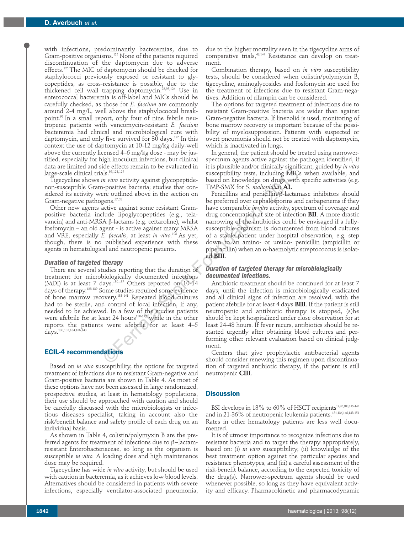with infections, predominantly bacteremias, due to Gram-positive organisms.125 None of the patients required discontinuation of the daptomycin due to adverse effects.125 The MIC of daptomycin should be checked for staphylococci previously exposed or resistant to glycopeptides, as cross-resistance is possible, due to the thickened cell wall trapping daptomycin.93,95,126 Use in enterococcal bacteremia is off-label and MICs should be carefully checked, as those for *E. faecium* are commonly around 2-4 mg/L, well above the staphylococcal breakpoint.95 In a small report, only four of nine febrile neutropenic patients with vancomycin-resistant *E. faecium* bacteremia had clinical and microbiological cure with daptomycin, and only five survived for  $3\overline{0}$  days.<sup>127</sup> In this context the use of daptomycin at 10-12 mg/kg daily-well above the currently licensed 4–6 mg/kg dose - may be justified, especially for high inoculum infections, but clinical data are limited and side effects remain to be evaluated in large-scale clinical trials.<sup>95,128,129</sup>

Tigecycline shows *in vitro* activity against glycopeptidenon-susceptible Gram-positive bacteria; studies that considered its activity were outlined above in the section on Gram-negative pathogens.57,58

Other new agents active against some resistant Grampositive bacteria include lipoglycopeptides (e.g., telavancin) and anti-MRSA β-lactams (e.g. ceftaroline), whilst fosfomycin – an old agent - is active against many MRSA and VRE, especially *E. faecalis*, at least *in vitro*. 103 As yet, though, there is no published experience with these agents in hematological and neutropenic patients.

#### *Duration of targeted therapy*

There are several studies reporting that the duration of treatment for microbiologically documented infections (MDI) is at least 7 days. $^{130\text{-}137}$  Others reported on 10-14 days of therapy.138,139 Some studies required some evidence of bone marrow recovery.138-141 Repeated blood cultures had to be sterile, and control of local infection, if any, needed to be achieved. In a few of the studies patients were afebrile for at least 24 hours<sup>138-142</sup> while in the other reports the patients were afebrile for at least 4–5 days.130,133,134,136,143 The metrical states are the production and the properties are about the properties because the properties because the properties because the properties because the properties because the properties are on the entire of th

#### **ECIL-4 recommendations**

Based on *in vitro* susceptibility, the options for targeted treatment of infections due to resistant Gram-negative and Gram-positive bacteria are shown in Table 4. As most of these options have not been assessed in large randomized, prospective studies, at least in hematology populations, their use should be approached with caution and should be carefully discussed with the microbiologists or infectious diseases specialist, taking in account also the risk/benefit balance and safety profile of each drug on an individual basis.

As shown in Table 4, colistin/polymyxin B are the preferred agents for treatment of infections due to β−lactamresistant Enterobacteriaceae, so long as the organism is susceptible *in vitro.* A loading dose and high maintenance dose may be required.

Tigecycline has wide *in vitro* activity, but should be used with caution in bacteremia, as it achieves low blood levels. Alternatives should be considered in patients with severe infections, especially ventilator-associated pneumonia,

due to the higher mortality seen in the tigecycline arms of comparative trials,<sup>48,144</sup> Resistance can develop on treatment.

Combination therapy, based on *in vitro* susceptibility tests, should be considered when colistin/polymyxin B, tigecycline, aminoglycosides and fosfomycin are used for the treatment of infections due to resistant Gram-negatives. Addition of rifampin can be considered.

The options for targeted treatment of infections due to resistant Gram-positive bacteria are wider than against Gram-negative bacteria. If linezolid is used, monitoring of bone marrow recovery is important because of the possibility of myelosuppression. Patients with suspected or overt pneumonia should not be treated with daptomycin, which is inactivated in lungs.

In general, the patient should be treated using narrowerspectrum agents active against the pathogen identified, if it is plausible and/or clinically significant, guided by *in vitro* susceptibility tests, including MICs when available, and based on knowledge on drugs with specific activities (e.g. TMP-SMX for *S. maltophilia*) **AI.**

Penicillins and penicillin/β-lactamase inhibitors should be preferred over cephalosporins and carbapenems if they have comparable *in vitro* activity, spectrum of coverage and drug concentration at site of infection **BII**. A more drastic narrowing of the antibiotics could be envisaged if a fullysusceptible organism is documented from blood cultures of a stable patient under hospital observation, e.g. step down to an amino- or ureido- penicillin (ampicillin or piperacillin) when an  $\alpha$ -haemolytic streptococcus is isolated **BIII**.

### *Duration of targeted therapy for microbiologically documented infections.*

Antibiotic treatment should be continued for at least 7 days, until the infection is microbiologically eradicated and all clinical signs of infection are resolved, with the patient afebrile for at least 4 days **BIII**. If the patient is still neutropenic and antibiotic therapy is stopped, (s)he should be kept hospitalized under close observation for at least 24-48 hours. If fever recurs, antibiotics should be restarted urgently after obtaining blood cultures and performing other relevant evaluation based on clinical judgment.

Centers that give prophylactic antibacterial agents should consider renewing this regimen upon discontinuation of targeted antibiotic therapy, if the patient is still neutropenic **CIII**.

#### **Discussion**

BSI develops in 13% to 60% of HSCT recipients<sup>14,26,108,145-147</sup> and in 21-36% of neutropenic leukemia patients.131,136,146,148-151 Rates in other hematology patients are less well documented.

It is of utmost importance to recognize infections due to resistant bacteria and to target the therapy appropriately, based on: (i) *in vitro* susceptibility, (ii) knowledge of the best treatment option against the particular species and resistance phenotypes, and (iii) a careful assessment of the risk-benefit balance, according to the expected toxicity of the drug(s). Narrower-spectrum agents should be used whenever possible, so long as they have equivalent activity and efficacy. Pharmacokinetic and pharmacodynamic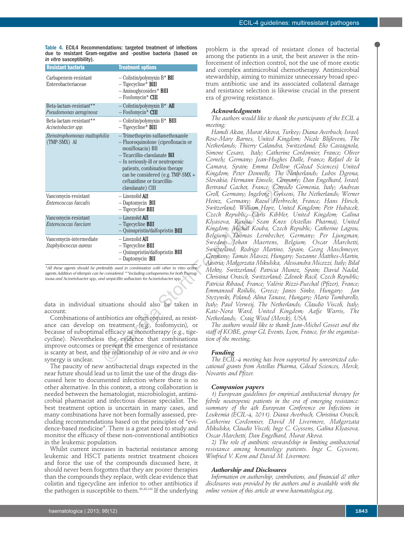Table 4. ECIL4 Recommendations: targeted treatment of infections due to resistant Gram-negative and -positive bacteria (based on *in vitro* susceptibility).

| <b>Resistant bacteria</b>                         | <b>Treatment options</b>                                                                                                                                                                                                                                                                          |
|---------------------------------------------------|---------------------------------------------------------------------------------------------------------------------------------------------------------------------------------------------------------------------------------------------------------------------------------------------------|
| Carbapenem-resistant<br>Enterobacteriaceae        | $-$ Colistin/polymyxin $B^*$ <b>BII</b><br>- Tigecycline* BIII<br>$-$ Aminoglycosides* BIII<br>$-$ Fosfomycin* CIII                                                                                                                                                                               |
| Beta-lactam-resistant**<br>Pseudomonas aeruginosa | $-$ Colistin/polymyxin $B^*$ <b>AII</b><br>$-$ Fosfomycin* CIII                                                                                                                                                                                                                                   |
| Beta-lactam-resistant**<br>Acinetobacter spp.     | $-Colistin/polymyxin B* BIII$<br>-Tigecycline* BIII                                                                                                                                                                                                                                               |
| Stenotrophomonas maltophilia<br>(TMP-SMX) AI      | - Trimethoprim-sulfamethoxazole<br>- Fluoroquinolone (ciprofloxacin or<br>moxifloxacin) BII<br>-Ticarcillin-clavulanate <b>BII</b><br>- In seriously-ill or neutropenic<br>patients, combination therapy<br>can be considered (e.g. TMP-SMX +<br>ceftazidime or ticarcillin-<br>clavulanate) CIII |
| Vancomycin-resistant<br>Enterococcus faecalis     | - Linezolid <b>AII</b><br>$-$ Daptomycin BII<br>- Tigecycline <b>BIII</b>                                                                                                                                                                                                                         |
| Vancomycin-resistant<br>Enterococcus faecium      | - Linezolid AII<br>- Tigecycline <b>BIII</b><br>- Quinupristin/dalfopristin <b>BIII</b>                                                                                                                                                                                                           |
| Vancomycin-intermediate<br>Staphylococcus aureus  | - Linezolid <b>AII</b><br>- Tigecycline <b>BIII</b><br>- Quinupristin/dalfopristin <b>BIII</b><br>$-$ Daptomycin BII                                                                                                                                                                              |

*\*All these agents should be preferably used in combination with other* in vitro *active* agents. Addition of rifampin can be considered. \*\*including carbapenems for both P. aeruginosa *and* Acinetobacter spp.*; and ampicillin sulbactam for* Acinetobacter spp.

data in individual situations should also be taken in account.

Combinations of antibiotics are often required, as resistance can develop on treatment (e.g., fosfomycin), or because of suboptimal efficacy as monotherapy (e.g., tigecycline). Nevertheless the evidence that combinations improve outcomes or prevent the emergence of resistance is scanty at best, and the relationship of *in vitro* and *in vivo* synergy is unclear.

The paucity of new antibacterial drugs expected in the near future should lead us to limit the use of the drugs discussed here to documented infection where there is no other alternative. In this context, a strong collaboration is needed between the hematologist, microbiologist, antimicrobial pharmacist and infectious disease specialist. The best treatment option is uncertain in many cases, and many combinations have not been formally assessed, precluding recommendations based on the principles of "evidence-based medicine". There is a great need to study and monitor the efficacy of these non-conventional antibiotics in the leukemic population.

Whilst current increases in bacterial resistance among leukemic and HSCT patients restrict treatment choices and force the use of the compounds discussed here, it should never been forgotten that they are poorer therapies than the compounds they replace, with clear evidence that colistin and tigecycline are inferior to other antibiotics if the pathogen is susceptible to them.<sup>46,48,144</sup> If the underlying

problem is the spread of resistant clones of bacterial among the patients in a unit, the best answer is the reinforcement of infection control, not the use of more exotic and complex antimicrobial chemotherapy. Antimicrobial stewardship, aiming to minimize unnecessary broad spectrum antibiotic use and its associated collateral damage and resistance selection is likewise crucial in the present era of growing resistance.

#### *Acknowledgments*

*The authors would like to thank the participants of the ECIL 4 meeting:*

*Hamdi Akan, Murat Akova, Turkey; Diana Averbuch, Israel; Rose-Mary Barnes, United Kingdom; Nicole Blijlevens, The Netherlands; Thierry Calandra, Switzerland; Elio Castagnola, Simone Cesaro, Italy; Catherine Cordonnier, France; Oliver Cornely, Germany; Jean-Hughes Dalle, France; Rafael de la Camara, Spain; Emma Dellow (Gilead Sciences) United Kingdom; Peter Donnelly, The Netherlands; Lubos Dgrona, Slovakia; Hermann Einsele, Germany; Dan Engelhard, Israel; Bertrand Gachot, France; Corrado Girmenia, Italy; Andreas Groll, Germany; Ingeborg Gyssens, The Netherlands; Werner Heinz, Germany; Raoul Herbrecht, France; Hans Hirsch, Switzerland; William Hope, United Kingdom; Petr Hubacek, Czech Republic; Chris Kibbler, United Kingdom; Galina Klyasova, Russia; Sean Knox (Astellas Pharma), United Kingdom; Michal Kouba, Czech Republic; Catherine Lagrou, Belgium; Thomas Lernbecher, Germany; Per Ljungman, Sweden; Johan Maertens, Belgium; Oscar Marchetti, Switzerland; Rodrigo Martino, Spain; Georg Maschmeyer, Germany; Tamas Masszi, Hungary; Suzanne Matthes-Martin, Austria; Małgorzata Mikulska, Alessandra Micozzi, Italy; Bilal Mohty, Switzerland; Patricia Munoz, Spain; David Nadal, Christina Orasch, Switzerland; Zdenek Racil, Czech Republic; Patricia Ribaud, France; Valérie Rizzi-Puechal (Pfizer), France; Emmanouil Roilidis, Greece; Janos Sinko, Hungary; Jan Styzynski, Poland; Alina Tanase, Hungary; Mario Tumbarello, Italy; Paul Verweij, The Netherlands; Claudio Viscoli, Italy; Kate-Nora Ward, United Kingdom; Aafje Warris, The Netherlands; Craig Wood (Merck), USA.* parents, combination terrator<br>
and be considered (e.g. TMP-SMX+<br>
certazidime or ticarcillin-<br>
cand Gach MP-SMX+<br>
certazidime or ticarcillin-<br>
cand Gach France (Serrator)<br>
cand Gach France (Serrator)<br>
- Linexolid AII Bertra

*The authors would like to thank Jean-Michel Gosset and the staff of KOBE, group GL Events, Lyon, France, for the organization of the meeting.*

#### *Funding*

*The ECIL-4 meeting has been supported by unrestricted educational grants from Astellas Pharma, Gilead Sciences, Merck, Novartis and Pfizer.* 

### *Companion papers*

*1) European guidelines for empirical antibacterial therapy for febrile neutropenic patients in the era of emerging resistance: summary of the 4th European Conference on Infections in Leukemia (ECIL-4, 2011). Diana Averbuch, Christina Orasch, Catherine Cordonnier, David M Livermore, Małgorzata Mikulska, Claudio Viscoli, Inge C. Gyssens, Galina Klyasova, Oscar Marchetti, Dan Engelhard, Murat Akova.*

*2) The role of antibiotic stewardship in limiting antibacterial resistance among hematology patients. Inge C. Gyssens, Winfried V. Kern and David M. Livermore.*

#### *Authorship and Disclosures*

*Information on authorship, contributions, and financial & other disclosures was provided by the authors and is available with the online version of this article at www.haematologica.org.*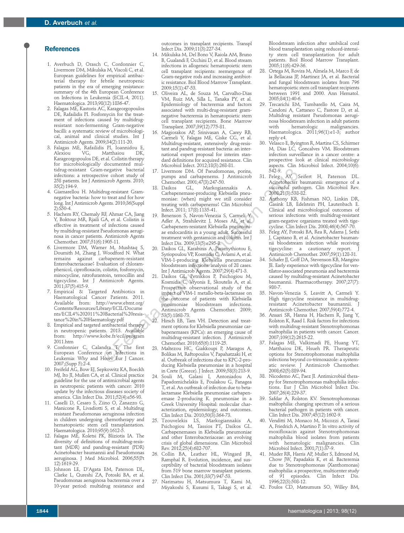#### **References**

- 1. Averbuch D, Orasch C, Cordonnier C, Livermore DM, Mikulska M, Viscoli C, et al. European guidelines for empirical antibacterial therapy for febrile neutropenic patients in the era of emerging resistance: summary of the 4th European Conference on Infections in Leukemia (ECIL-4, 2011). Haematologica. 2013;98(12):1836-47.
- 2. Falagas ME, Kastoris AC, Karageorgopoulos DE, Rafailidis PI. Fosfomycin for the treatment of infections caused by multidrugresistant non-fermenting Gram-negative bacilli: a systematic review of microbiological, animal and clinical studies. Int J Antimicrob Agents. 2009;34(2):111-20.
- 3. Falagas ME, Rafailidis PI, Ioannidou E, Alexiou VG, Matthaiou DK, Karageorgopoulos DE, et al. Colistin therapy for microbiologically documented multidrug-resistant Gram-negative bacterial infections: a retrospective cohort study of 258 patients. Int J Antimicrob Agents. 2010; 35(2):194-9.
- 4. Giamarellou H. Multidrug-resistant Gramnegative bacteria: how to treat and for how long. Int J Antimicrob Agents. 2010;36(Suppl 2):S50-4.
- 5. Hachem RY, Chemaly RF, Ahmar CA, Jiang Y, Boktour MR, Rjaili GA, et al. Colistin is effective in treatment of infections caused by multidrug-resistant Pseudomonas aeruginosa in cancer patients. Antimicrob Agents Chemother. 2007;51(6):1905-11.
- 6. Livermore DM, Warner M, Mushtaq S, Doumith M, Zhang J, Woodford N. What remains against carbapenem-resistant Enterobacteriaceae? Evaluation of chloramphenicol, ciprofloxacin, colistin, fosfomycin, minocycline, nitrofurantoin, temocillin and tigecycline. Int J Antimicrob Agents. 2011;37(5):415-9.
- 7. Empirical & Targeted Antibiotics in Haematological Cancer Patients. 2011. Available from: http://www.ebmt.org/ Contents/Resources/Library/ECIL/Docume nts/ECIL4%202011%20Bacterial%20resistance%20in%20Haematology.pdf
- 8. Empirical and targeted antibacterial therapy in neutropenic patients. 2013. Available from: http://www.kobe.fr/ecil/program 2011.htm
- 9. Cordonnier C, Calandra T. The first European Conference on Infections in Leukemia: Why and How? Eur J Cancer. 2007;(Supp 5):2-4.
- 10. Freifeld AG, Bow EJ, Sepkowitz KA, Boeckh MJ, Ito JI, Mullen CA, et al. Clinical practice guideline for the use of antimicrobial agents in neutropenic patients with cancer: 2010 update by the infectious diseases society of america. Clin Infect Dis. 2011;52(4):e56-93.
- 11. Caselli D, Cesaro S, Ziino O, Zanazzo G, Manicone R, Livadiotti S, et al. Multidrug resistant Pseudomonas aeruginosa infection in children undergoing chemotherapy and hematopoietic stem cell transplantation. Haematologica. 2010;95(9):1612-5.
- 12. Falagas ME, Koletsi PK, Bliziotis IA. The diversity of definitions of multidrug-resistant (MDR) and pandrug-resistant (PDR) Acinetobacter baumannii and Pseudomonas aeruginosa. J Med Microbiol. 2006;55(Pt 12):1619-29.
- 13. Johnson LE, D'Agata EM, Paterson DL, Clarke L, Qureshi ZA, Potoski BA, et al. Pseudomonas aeruginosa bacteremia over a 10-year period: multidrug resistance and

outcomes in transplant recipients. Transpl Infect Dis. 2009;11(3):227-34.

- 14. Mikulska M, Del Bono V, Raiola AM, Bruno B, Gualandi F, Occhini D, et al. Blood stream infections in allogeneic hematopoietic stem cell transplant recipients: reemergence of Gram-negative rods and increasing antibiotic resistance. Biol Blood Marrow Transplant. 2009;15(1):47-53.
- 15. Oliveira AL, de Souza M, Carvalho-Dias VM, Ruiz MA, Silla L, Tanaka PY, et al. Epidemiology of bacteremia and factors associated with multi-drug-resistant gramnegative bacteremia in hematopoietic stem cell transplant recipients. Bone Marrow Transplant. 2007;39(12):775-81.
- 16. Magiorakos AP, Srinivasan A, Carey RB, Carmeli Y, Falagas ME, Giske CG, et al. Multidrug-resistant, extensively drug-resistant and pandrug-resistant bacteria: an international expert proposal for interim standard definitions for acquired resistance. Clin Microbiol Infect. 2012;18(3):268-81.
- 17. Livermore DM. Of Pseudomonas, porins, pumps and carbapenems. J Antimicrob Chemother. 2001;47(3):247-50.<br>18. Daikos GL, Markogiar
- Markogiannakis A. Carbapenemase-producing Klebsiella pneumoniae: (when) might we still consider treating with carbapenems? Clin Microbiol Infect. 2011; 17(8):1135-41.
- 19. Benenson S, Navon-Venezia S, Carmeli Y, Adler A, Strahilevitz J, Moses AE, et al. Carbapenem-resistant Klebsiella pneumoniae endocarditis in a young adult. Successful treatment with gentamicin and colistin. Int J Infect Dis. 2009;13(5):e295-8.
- 20. Daikos GL, Karabinis A, Paramythiotou E, Syriopoulou VP, Kosmidis C, Avlami A, et al. VIM-1-producing Klebsiella pneumoniae bloodstream infections: analysis of 28 cases. Int J Antimicrob Agents. 2007;29(4):471-3.
- 21. Daikos GL, Petrikkos P, Psichogiou M, Kosmidis C, Vryonis E, Skoutelis A, et al. Prospective observational study of the impact of VIM-1 metallo-beta-lactamase on the outcome of patients with Klebsiella<br>pneumoniae bloodstream infections. bloodstream infections. Antimicrob Agents Chemother. 2009; 53(5):1868-73. -regative bacterial 17. Livemone DM. Of Pacudom<br>nas, poins,  $542.9$  considered bacts and the model of the first<br>consider the first constrained bacts and the Calicular Calicular Calicular<br>constrained bacts and the constrai

22. Hirsch EB, Tam VH. Detection and treatment options for Klebsiella pneumoniae carbapenemases (KPCs): an emerging cause of multidrug-resistant infection. J Antimicrob Chemother. 2010;65(6):1119-25.

- 23. Maltezou HC, Giakkoupi P, Maragos A, Bolikas M, Raftopoulos V, Papahatzaki H, et al. Outbreak of infections due to KPC-2-producing Klebsiella pneumoniae in a hospital in Crete (Greece). J Infect. 2009;58(3):213-9.
- 24. Souli M, Galani I, Antoniadou A, Papadomichelakis E, Poulakou G, Panagea T, et al. An outbreak of infection due to betalactamase Klebsiella pneumoniae carbapenemase 2-producing K. pneumoniae in a Greek University Hospital: molecular characterization, epidemiology, and outcomes. Clin Infect Dis. 2010;50(3):364-73.
- 25. Tzouvelekis LS, Markogiannakis A, Psichogiou M, Tassios PT, Daikos GL. Carbapenemases in Klebsiella pneumoniae and other Enterobacteriaceae: an evolving crisis of global dimensions. Clin Microbiol Rev. 2012;25(4):682-707.
- 26. Collin BA, Leather HL, Wingard JR, Ramphal R. Evolution, incidence, and susceptibility of bacterial bloodstream isolates from 519 bone marrow transplant patients. Clin Infect Dis. 2001;33(7):947-53.
- 27. Narimatsu H, Matsumura T, Kami M, Miyakoshi S, Kusumi E, Takagi S, et al.

Bloodstream infection after umbilical cord blood transplantation using reduced-intensity stem cell transplantation for adult patients. Biol Blood Marrow Transplant. 2005;11(6):429-36.

- 28. Ortega M, Rovira M, Almela M, Marco F, de la Bellacasa JP, Martinez JA, et al. Bacterial and fungal bloodstream isolates from 796 hematopoietic stem cell transplant recipients between 1991 and 2000. Ann Hematol. 2005;84(1):40-6.
- 29. Trecarichi EM, Tumbarello M, Caira M, Candoni A, Cattaneo C, Pastore D, et al. Multidrug resistant Pseudomonas aeruginosa bloodstream infection in adult patients<br>with hematologic malignancies. with hematologic malignancies. Haematologica. 2011;96(1):e1-3; author reply e4.
- 30. Velasco E, Byington R, Martins CS, Schirmer M, Dias LC, Goncalves VM. Bloodstream infection surveillance in a cancer centre: a prospective look at clinical microbiology aspects. Clin Microbiol Infect. 2004;10(6):
- $542-9.$ <br>31. Peleg AY, Seifert H, Paterson DL. Acinetobacter baumannii: emergence of a successful pathogen. Clin Microbiol Rev. 2008;21(3):538-82.
- 32. Anthony KB, Fishman NO, Linkin DR, Gasink LB, Edelstein PH, Lautenbach E. Clinical and microbiological outcomes of serious infections with multidrug-resistant gram-negative organisms treated with tigecycline. Clin Infect Dis. 2008;46(4):567-70.
- 33. Peleg AY, Potoski BA, Rea R, Adams J, Sethi J, Capitano B, et al. Acinetobacter baumannii bloodstream infection while receiving<br>tigecycline: a cautionary report. J tigecycline: a cautionary Antimicrob Chemother. 2007;59(1):128-31.
- 34. Schafer JJ, Goff DA, Stevenson KB, Mangino JE. Early experience with tigecycline for ventilator-associated pneumonia and bacteremia caused by multidrug-resistant Acinetobacter baumannii. Pharmacotherapy. 2007;27(7): 980-7.
- 35. Navon-Venezia S, Leavitt A, Carmeli Y. High tigecycline resistance in multidrugresistant Acinetobacter baumannii. Antimicrob Chemother. 2007;59(4):772-4.
- 36. Ansari SR, Hanna H, Hachem R, Jiang Y, Rolston K, Raad I. Risk factors for infections with multidrug-resistant Stenotrophomonas maltophilia in patients with cancer. Cancer. 2007;109(12):2615-22.
- 37. Falagas ME, Valkimadi PE, Huang YT, Matthaiou DK, Hsueh PR. Therapeutic options for Stenotrophomonas maltophilia infections beyond co-trimoxazole: a systematic review. J Antimicrob Chemother. 2008;62(5):889-94.
- 38. Nicodemo AC, Paez JI. Antimicrobial therapy for Stenotrophomonas maltophilia infections. Eur J Clin Microbiol Infect Dis. 2007;26(4):229-37.
- 39. Safdar A, Rolston KV. Stenotrophomonas maltophilia: changing spectrum of a serious bacterial pathogen in patients with cancer. Clin Infect Dis. 2007;45(12):1602-9.
- Venditti M, Monaco M, Micozzi A, Tarasi A, Friedrich A, Martino P. In vitro activity of moxifloxacin against Stenotrophomonas maltophilia blood isolates from patients with hematologic malignancies. Clin Microbiol Infect. 2001;7(1):37-9.
- 41. Muder RR, Harris AP, Muller S, Edmond M, Chow JW, Papadakis K, et al. Bacteremia due to Stenotrophomonas (Xanthomonas) maltophilia: a prospective, multicenter study<br>of 91 episodes. Clin Infect Dis. Clin Infect Dis. 1996;22(3):508-12.
- 42. Poulos CD, Matsumura SO, Willey BM,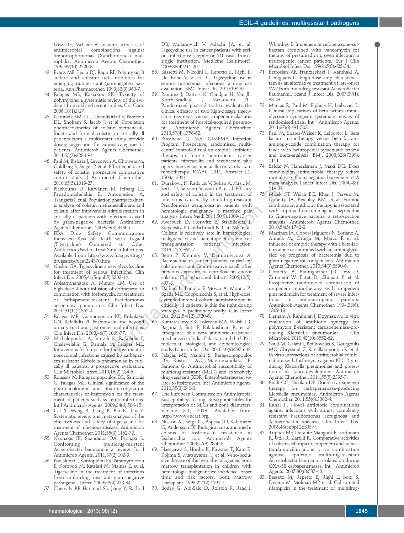Low DE, McGeer A. In vitro activities of<br>antimicrobial combinations against combinations against Stenotrophomonas (Xanthomonas) maltophilia. Antimicrob Agents Chemother. 1995;39(10):2220-3.

- 43. Evans ME, Feola DJ, Rapp RP. Polymyxin B sulfate and colistin: old antibiotics for emerging multiresistant gram-negative bacteria. Ann Pharmacother. 1999;33(9):960-7.
- 44. Falagas ME, Kasiakou SK. Toxicity of polymyxins: a systematic review of the evidence from old and recent studies. Crit Care. 2006;10(1):R27.
- 45. Garonzik SM, Li J, Thamlikitkul V, Paterson DL, Shoham S, Jacob J, et al. Population pharmacokinetics of colistin methanesulfonate and formed colistin in critically ill patients from a multicenter study provide dosing suggestions for various categories of patients. Antimicrob Agents Chemother. 2011;55(7):3284-94.
- 46. Paul M, Bishara J, Levcovich A, Chowers M, Goldberg E, Singer P, et al. Effectiveness and safety of colistin: prospective comparative cohort study. J Antimicrob Chemother. 2010;65(5):1019-27.
- 47. Plachouras D, Karvanen M, Friberg LE, Papadomichelakis E, Antoniadou A, Tsangaris I, et al. Population pharmacokinetic analysis of colistin methanesulfonate and colistin after intravenous administration in critically ill patients with infections caused by gram-negative bacteria. Antimicrob Agents Chemother. 2009;53(8):3430-6.<br>48. FDA Drug Safety Communica
- Safety Communication: Increased Risk of Death with Tygacil<br>(Tigecycline) Compared to Other (Tigecycline) Compared to Antibiotics Used to Treat Similar Infections. Available from: http://www.fda.gov/drugs/ drugsafety/ucm224370.htm
- Noskin GA. Tigecycline: a new glycylcycline for treatment of serious infections. Clin Infect Dis. 2005;41(Suppl 5):S303-14.
- 50. Apisarnthanarak A, Mundy LM. Use of high-dose 4-hour infusion of doripenem, in combination with fosfomycin, for treatment of carbapenem-resistant Pseudomonas aeruginosa pneumonia. Clin Infect Dis. 2010;51(11):1352-4.
- 51. Falagas ME, Giannopoulou KP, Kokolakis GN, Rafailidis PI. Fosfomycin: use beyond urinary tract and gastrointestinal infections. Clin Infect Dis. 2008;46(7):1069-77.
- 52. Michalopoulos A, Virtzili S, Rafailidis P, Chalevelakis G, Damala M, Falagas ME. Intravenous fosfomycin for the treatment of nosocomial infections caused by carbapenem-resistant Klebsiella pneumoniae in critically ill patients: a prospective evaluation. Clin Microbiol Infect. 2010;16(2):184-6.
- 53. Roussos N, Karageorgopoulos DE, Samonis G, Falagas ME. Clinical significance of the pharmacokinetic and pharmacodynamic characteristics of fosfomycin for the treatment of patients with systemic infections. Int J Antimicrob Agents. 2009;34(6):506-15.
- 54. Cai Y, Wang R, Liang B, Bai N, Liu Y. Systematic review and meta-analysis of the effectiveness and safety of tigecycline for treatment of infectious disease. Antimicrob Agents Chemother. 2011;55(3):1162-72.
- 55. Neonakis IK, Spandidos DA, Petinaki E. multidrug-resistant Acinetobacter baumannii: a review. Int J Antimicrob Agents. 2011;37(2):102-9.
- 56. Poulakou G, Kontopidou FV, Paramythiotou E, Kompoti M, Katsiari M, Mainas E, et al. Tigecycline in the treatment of infections from multi-drug resistant gram-negative pathogens. J Infect. 2009;58(4):273-84.
- 57. Chemaly RF, Hanmod SS, Jiang Y, Rathod

DB, Mulanovich V, Adachi JA, et al. Tigecycline use in cancer patients with serious infections: a report on 110 cases from a single institution. Medicine (Baltimore). 2009;88(4):211-20.

- 58. Bassetti M, Nicolini L, Repetto E, Righi E, Del Bono V, Viscoli C. Tigecycline use in serious nosocomial infections: a drug use evaluation. BMC Infect Dis. 2010;10:287.
- 59. Ramirez J, Dartois N, Gandjini H, Yan JL, Korth-Bradley J, McGovern PC. Randomized phase 2 trial to evaluate the clinical efficacy of two high-dosage tigecycline regimens versus imipenem-cilastatin for treatment of hospital-acquired pneumo-<br>nia. Antimicrob Agents Chemother. Agents Chemother. 2013;57(4):1756-62.
- Bucaneve G. MA, GIMEMA Infection Program. Prospective, randomised, multicentre controlled trial on empiric antibiotic therapy in febrile neutropenic cancer patients: piperacillin and tazobactam plus tigecycline versus piperacillin or tazobactam monotherapy. ICAAC 2011, Abstract L1- 1503a. 2011.
- 61. Durakovic N, Radojcic V, Boban A, Mrsic M, Sertic D, Serventi-Seiwerth R, et al. Efficacy and safety of colistin in the treatment of infections caused by multidrug-resistant Pseudomonas aeruginosa in patients with hematologic malignancy: a matched pair analysis. Intern Med. 2011;50(9):1009-13. matricesion in the sected of the store is a sected of the methanism in the store is solid and the store of the store of the store of the store of the store of the store of the store of the store of the store of the store
	- 62. Averbuch D, Horwitz E, Strahilevitz J, Stepensky P, Goldschmidt N, Gatt ME, et al. Colistin is relatively safe in hematological malignancies and hematopoietic stem cell<br>transplantation patients. Infection. transplantation 2013;41(5):991-7.
	- 63. Beno P, Krcmery V, Demitrovicova A. Bacteraemia in cancer patients caused by colistin-resistant Gram-negative bacilli after previous exposure to ciprofloxacin and/or colistin. Clin Microbiol Infect. 2006;12(5): 497-8.
	- 64. Dalfino L, Puntillo F, Mosca A, Monno R, Spada ML, Coppolecchia S, et al. High-dose, extended-interval colistin administration in critically ill patients: is this the right dosing strategy? A preliminary study. Clin Infect Dis. 2012;54(12):1720-6.
	- 65. Kumarasamy KK, Toleman MA, Walsh TR, Bagaria J, Butt F, Balakrishnan R, et al. Emergence of a new antibiotic resistance mechanism in India, Pakistan, and the UK: a molecular, biological, and epidemiological study. Lancet Infect Dis. 2010;10(9):597-602.
	- 66. Falagas ME, Maraki S, Karageorgopoulos DE, Kastoris AC, Mavromanolakis E, Samonis G. Antimicrobial susceptibility of multidrug-resistant (MDR) and extensively drug-resistant (XDR) Enterobacteriaceae isolates to fosfomycin. Int J Antimicrob Agents. 2010;35(3):240-3.
	- The European Committee on Antimicrobial Susceptibility Testing. Breakpoint tables for interpretation of MICs and zone diameters. Version 3.1, 2013. Available from: http://www.eucast.org.
	- 68. Nilsson AI, Berg OG, Aspevall O, Kahlmeter G, Andersson DI. Biological costs and mechanisms of fosfomycin resistance in Escherichia coli. Antimicrob Agents Chemother. 2003;47(9):2850-8.
	- 69. Hasegawa S, Horibe K, Kawabe T, Kato K, Kojima S, Matsuyama T, et al. Veno-occlusive disease of the liver after allogeneic bone marrow transplantation in children with hematologic malignancies: incidence, onset time and risk factors. Bone Marrow Transplant. 1998;22(12):1191-7.
	- 70. Bodey G, Abi-Said D, Rolston K, Raad I,

Whimbey E. Imipenem or cefoperazone-sulbactam combined with vancomycin for therapy of presumed or proven infection in neutropenic cancer patients. Eur J Clin Microbiol Infect Dis. 1996;15(8):625-34.

- 71. Betrosian AP, Frantzeskaki F, Xanthaki A, Georgiadis G. High-dose ampicillin-sulbactam as an alternative treatment of late-onset VAP from multidrug-resistant Acinetobacter baumannii. Scand J Infect Dis. 2007;39(1): 38-43.
- 72. Marcus R, Paul M, Elphick H, Leibovici L. Clinical implications of beta-lactam-aminoglycoside synergism: systematic review of randomised trials. Int J Antimicrob Agents. 2011;37(6):491-503.
- 73. Paul M, Soares-Weiser K, Leibovici L. Beta lactam monotherapy versus beta lactamaminoglycoside combination therapy for fever with neutropenia: systematic review and meta-analysis. BMJ. 2003;326(7399): 1111.
- 74. Safdar N, Handelsman J, Maki DG. Does combination antimicrobial therapy reduce mortality in Gram-negative bacteraemia? A meta-analysis. Lancet Infect Dis. 2004;4(8): 519-27.
- 75. Micek ST, Welch EC, Khan J, Pervez M, Doherty JA, Reichley RM, et al. Empiric combination antibiotic therapy is associated with improved outcome against sepsis due to Gram-negative bacteria: a retrospective analysis. Antimicrob Agents Chemother. 2010;54(5):1742-8.
- 76. Martinez JA, Cobos-Trigueros N, Soriano A, Almela M, Ortega M, Marco F, et al. Influence of empiric therapy with a beta-lactam alone or combined with an aminoglycoside on prognosis of bacteremia due to gram-negative microorganisms. Antimicrob Agents Chemother. 2010;54(9):3590-6.
- 77. Cometta A, Baumgartner JD, Lew D, Zimmerli W, Pittet D, Chopart P, et al. Prospective randomized comparison of imipenem monotherapy with imipenem plus netilmicin for treatment of severe infec-<br>tions in nonneutropenic patients. tions in nonneutropenic Antimicrob Agents Chemother. 1994;38(6): 1309-13.
- 78. Elemam A, Rahimian J, Doymaz M. In vitro evaluation of antibiotic synergy for polymyxin B-resistant carbapenemase-producing Klebsiella pneumoniae. J Clin Microbiol. 2010;48(10):3558-62.
- 79. Souli M, Galani I, Boukovalas S, Gourgoulis MG, Chryssouli Z, Kanellakopoulou K, et al. In vitro interactions of antimicrobial combinations with fosfomycin against KPC-2-producing Klebsiella pneumoniae and protection of resistance development. Antimicrob Agents Chemother. 2011;55(5):2395-7.
- 80. Bulik CC, Nicolau DP. Double-carbapenem therapy for carbapenemase-producing Klebsiella pneumoniae. Antimicrob Agents Chemother. 2011;55(6):3002-4.
- 81. Rahal JJ. Novel antibiotic combinations against infections with almost completely resistant Pseudomonas aeruginosa and Acinetobacter species. Clin Infect Dis. 2006;43(Suppl 2):S95-9.
- 82. Tripodi MF, Durante-Mangoni E, Fortunato R, Utili R, Zarrilli R. Comparative activities of colistin, rifampicin, imipenem and sulbactam/ampicillin alone or in combination against epidemic multidrug-resistant Acinetobacter baumannii isolates producing OXA-58 carbapenemases. Int J Antimicrob Agents. 2007;30(6):537-40.
- 83. Bassetti M, Repetto E, Righi E, Boni S, Diverio M, Molinari MP, et al. Colistin and rifampicin in the treatment of multidrug-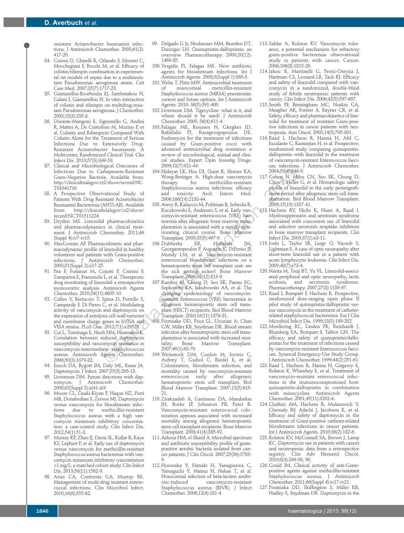resistant Acinetobacter baumannii infections. J Antimicrob Chemother. 2008;61(2): 417-20.

- 84. Cirioni O, Ghiselli R, Orlando F, Silvestri C, Mocchegiani F, Rocchi M, et al. Efficacy of colistin/rifampin combination in experimental rat models of sepsis due to a multiresistant Pseudomonas aeruginosa strain. Crit Care Med. 2007;35(7):1717-23.
- 85. Giamarellos-Bourboulis EJ, Sambatakou H, Galani I, Giamarellou H. In vitro interaction of colistin and rifampin on multidrug-resistant Pseudomonas aeruginosa. J Chemother. 2003;15(3):235-8.
- 86. Durante-Mangoni E, Signoriello G, Andini R, Mattei A, De Cristoforo M, Murino P, et al. Colistin and Rifampicin Compared With Colistin Alone for the Treatment of Serious Infections Due to Extensively Drug-Resistant Acinetobacter baumannii: A Multicenter, Randomized Clinical Trial. Clin Infect Dis. 2013;57(3):349-58.
- 87. Clinical and Microbiological Outcomes of Infections Due to Carbapenem-Resistant Gram-Negative Bacteria. Available from: http://clinicaltrialsgov/ct2/show/record/NC T01041716
- 88. A Prospective Observational Study of Patients With Drug Resistant Acinetobacter Baumannii Bacteremia (ANTI-AB). Available http://clinicaltrialsgov/ct2/show/ record/NCT01511224
- 89. Dryden MS. Linezolid pharmacokinetics and pharmacodynamics in clinical treatment. J Antimicrob Chemother. 2011;66 (Suppl 4):iv7-iv15.
- 90. MacGowan AP. Pharmacokinetic and pharmacodynamic profile of linezolid in healthy volunteers and patients with Gram-positive infections. J Antimicrob Chemother. 2003;51(Suppl 2):ii17-25.
- 91. Pea F, Furlanut M, Cojutti P, Cristini F, Zamparini E, Franceschi L, et al. Therapeutic drug monitoring of linezolid: a retrospective monocentric analysis. Antimicrob Agents Chemother. 2010;54(11):4605-10.
- 92. Cafiso V, Bertuccio T, Spina D, Purrello S, Campanile F, Di Pietro C, et al. Modulating activity of vancomycin and daptomycin on the expression of autolysis cell-wall turnover and membrane charge genes in hVISA and VISA strains. PLoS One. 2012;7(1):e29573.
- 93. Cui L, Tominaga E, Neoh HM, Hiramatsu K. Correlation between reduced daptomycin susceptibility and vancomycin resistance in vancomycin-intermediate staphylococcus aureus. Antimicrob Agents Chemother. 2006;50(3):1079-82.
- 94. Enoch DA, Bygott JM, Daly ML, Karas JA. Daptomycin. J Infect. 2007;55(3):205-13.
- Livermore DM. Future directions with dap-<br>tomvcin. I Antimicrob Chemother. tomycin. J Antimicrob 2008;62(Suppl 3):iii41-iii9.
- 96. Moore CL, Osaki-Kiyan P, Haque NZ, Perri MB, Donabedian S, Zervos MJ. Daptomycin versus vancomycin for bloodstream infec-<br>tions due to methicillin-resistant due to methicillin-resistant Staphylococcus aureus with a high vancomycin minimum inhibitory concentration: a case-control study. Clin Infect Dis. 2012;54(1):51-8.
- 97. Murray KP, Zhao JJ, Davis SL, Kullar R, Kaye KS, Lephart P, et al. Early use of daptomycin versus vancomycin for methicillin-resistant Staphylococcus aureus bacteremia with vancomycin minimum inhibitory concentration >1 mg/L: a matched cohort study. Clin Infect Dis. 2013;56(11):1562-9.
- 98. Arias CA, Contreras GA, Murray BE. Management of multi-drug resistant enterococcal infections. Clin Microbiol Infect. 2010;16(6):555-62.
- 99. Delgado G Jr, Neuhauser MM, Bearden DT, Danziger LH. Quinupristin-dalfopristin: an overview. Pharmacotherapy. 2000;20(12): 1469-85.
- 100.Vergidis PI, Falagas ME. New antibiotic agents for bloodstream infections. Int J Antimicrob Agents. 2008;3(Suppl 1):S60-5.
- 101. Welte T, Pletz MW. Antimicrobial treatment<br>of nosocomial meticillin-resistant meticillin-resistant Staphylococcus aureus (MRSA) pneumonia: current and future options. Int J Antimicrob Agents. 2010; 36(5):391-400.
- 102.Livermore DM. Tigecycline: what is it, and where should it be used? J Antimicrob Chemother. 2005; 56(4):611-4.
- 103.Falagas ME, Roussos N, Gkegkes ID, Rafailidis PI, Karageorgopoulos DE. Fosfomycin for the treatment of infections caused by Gram-positive cocci with advanced antimicrobial drug resistance: a review of microbiological, animal and clinical studies. Expert Opin Investig Drugs. 2009;18(7):921-44.
- 104.Hidayat LK, Hsu DI, Quist R, Shriner KA, Wong-Beringer A. High-dose vancomycin<br>therapy for methicillin-resistant  $methicillin-resistant$ Staphylococcus aureus infections: efficacy<br>and toxicity. Arch Intern Med. Intern Med. 2006;166(19):2138-44.
- 105.Avery R, Kalaycio M, Pohlman B, Sobecks R, Kuczkowski E, Andresen S, et al. Early vancomycin-resistant enterococcus (VRE) bacteremia after allogeneic bone marrow transplantation is associated with a rapidly deteriorating clinical course. Bone Marrow Transplant. 2005;35(5):497-9. ©Ferrata Storti Foundation 2013
	- 106.Dubberke ER, Hollands JM, Georgantopoulos P, Augustin K, DiPersio JF, Mundy LM, et al. Vancomycin-resistant enterococcal bloodstream infections on a hematopoietic stem cell transplant unit: are the sick getting sicker? Bone Marrow Transplant. 2006;38(12):813-9.
	- 107.Kamboj M, Chung D, Seo SK, Pamer EG, Sepkowitz KA, Jakubowski AA, et al. The changing epidemiology of vancomycinresistant Enterococcus (VRE) bacteremia in allogeneic hematopoietic stem cell transplant (HSCT) recipients. Biol Blood Marrow Transplant. 2010;16(11):1576-81.
	- 108.Poutsiaka DD, Price LL, Ucuzian A, Chan GW, Miller KB, Snydman DR. Blood stream infection after hematopoietic stem cell transplantation is associated with increased mor-<br>tality. Bone Marrow Transplant. Bone Marrow Transplant. 2007;40(1):63-70.
	- 109.Weinstock DM, Conlon M, Iovino C, Aubrey T, Gudiol C, Riedel E, et al. Colonization, bloodstream infection, and mortality caused by vancomycin-resistant<br>enterococcus early after allogeneic enterococcus early hematopoietic stem cell transplant. Biol Blood Marrow Transplant. 2007;13(5):615- 21.
	- 110.Zirakzadeh A, Gastineau DA, Mandrekar JN, Burke JP, Johnston PB, Patel R. Vancomycin-resistant enterococcal colonization appears associated with increased mortality among allogeneic hematopoietic stem cell transplant recipients. Bone Marrow Transplant. 2008;41(4):385-92.
	- 111.Ashour HM, el-Sharif A. Microbial spectrum and antibiotic susceptibility profile of grampositive aerobic bacteria isolated from cancer patients. J Clin Oncol. 2007;25(36):5763- 9.
	- 112.Hososaka Y, Hanaki H, Yanagisawa C, Yamaguchi Y, Matsui H, Nakae T, et al. Nosocomial infection of beta-lactam antibiotic-induced vancomycin-resistant Staphylococcus aureus (BIVR). J Infect Chemother. 2006;12(4):181-4.
- 113.Safdar A, Rolston KV. Vancomycin tolerance, a potential mechanism for refractory gram-positive bacteremia observational study in patients with cancer. Cancer. 2006;106(8):1815-20.
- 114.Jaksic B, Martinelli G, Perez-Oteyza J, Hartman CS, Leonard LB, Tack KJ. Efficacy and safety of linezolid compared with vancomycin in a randomized, double-blind study of febrile neutropenic patients with cancer. Clin Infect Dis. 2006;42(5):597-607.
- 115.Smith PF, Birmingham MC, Noskin GA, Meagher AK, Forrest A, Rayner CR, et al. Safety, efficacy and pharmacokinetics of linezolid for treatment of resistant Gram-positive infections in cancer patients with neutropenia. Ann Oncol. 2003;14(5):795-801.
- 116.Raad I, Hachem R, Hanna H, Afif C, Escalante C, Kantarjian H, et al. Prospective, randomized study comparing quinupristindalfopristin with linezolid in the treatment of vancomycin-resistant Enterococcus faecium infections. J Antimicrob Chemother. 2004;53(4):646-9.
- 117.Cohen N, Mihu CN, Seo SK, Chung D, Chou J, Heller G, et al. Hematologic safety profile of linezolid in the early periengraftment period after allogeneic stem cell transplantation. Biol Blood Marrow Transplant. 2009;15(10):1337-41.
- 118.Hachem RY, Hicks K, Huen A, Raad I. Myelosuppression and serotonin syndrome associated with concurrent use of linezolid and selective serotonin reuptake inhibitors in bone marrow transplant recipients. Clin Infect Dis. 2003;37(1):e8-11.
- 119.Joshi L, Taylor SR, Large O, Yacoub S, Lightman S. A case of optic neuropathy after short-term linezolid use in a patient with acute lymphocytic leukemia. Clin Infect Dis. 2009;48(7):e73-4.
- 120.Narita M, Tsuji BT, Yu VL. Linezolid-associated peripheral and optic neuropathy, lactic<br>acidosis. and serotonin syndrome. acidosis, and serotonin Pharmacotherapy. 2007;27(8):1189-97.
- 121.Raad I, Bompart F, Hachem R. Prospective, randomized dose-ranging open phase II pilot study of quinupristin/dalfopristin versus vancomycin in the treatment of catheterrelated staphylococcal bacteremia. Eur J Clin Microbiol Infect Dis. 1999;18(3):199-202.
- 122.Moellering RC, Linden PK, Reinhardt J, Blumberg EA, Bompart F, Talbot GH. The efficacy and safety of quinupristin/dalfopristin for the treatment of infections caused by vancomycin-resistant Enterococcus faecium. Synercid Emergency-Use Study Group. J Antimicrob Chemother. 1999;44(2):251-61.
- 123.Raad I, Hachem R, Hanna H, Girgawy E, Rolston K, Whimbey E, et al. Treatment of vancomycin-resistant enterococcal infections in the immunocompromised host: quinupristin-dalfopristin in combination with minocycline. Antimicrob Agents Chemother. 2001;45(11):3202-4.
- 124.Chaftari AM, Hachem R, Mulanovich V, Chemaly RF, Adachi J, Jacobson K, et al. Efficacy and safety of daptomycin in the treatment of Gram-positive catheter-related bloodstream infections in cancer patients. Int J Antimicrob Agents. 2010;36(2):182-6.
- 125.Rolston KV, McConnell SA, Brown J, Lamp KC. Daptomycin use in patients with cancer and neutropenia: data from a retrospective registry. Clin Adv Hematol Oncol. 2010;8(4):249-56, 90.
- 126.Gould IM. Clinical activity of anti-Grampositive agents against methicillin-resistant Staphylococcus aureus. J Antimicrob Chemother. 2011;66(Suppl 4):iv17-iv21.
- 127.Poutsiaka DD, Skiffington S, Miller KB, Hadley S, Snydman DR. Daptomycin in the